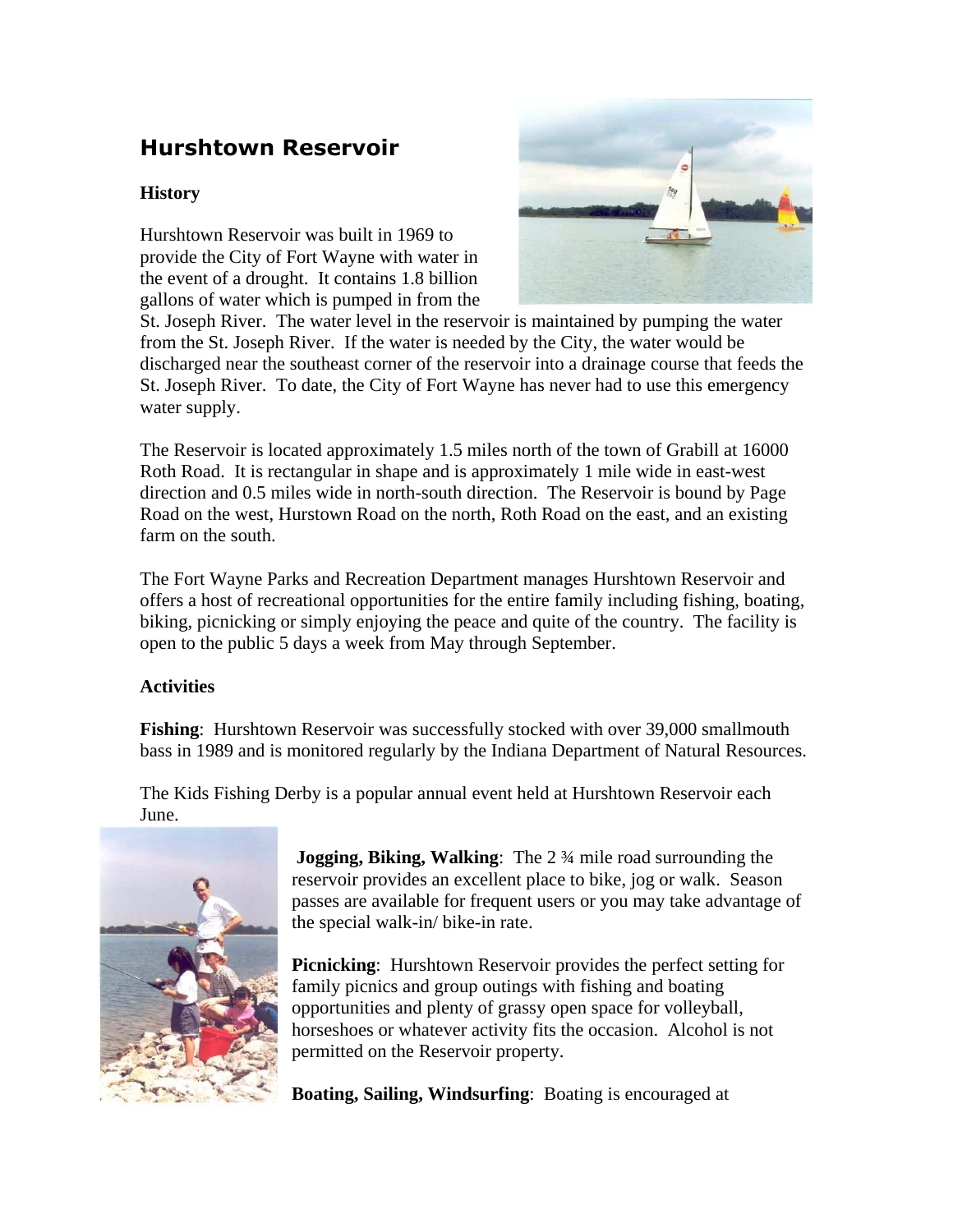## Hurshtown Reservoir

## **History**

Hurshtown Reservoir was built in 1969 to provide the City of Fort Wayne with water in the event of a drought. It contains 1.8 billion gallons of water which is pumped in from the



St. Joseph River. The water level in the reservoir is maintained by pumping the water from the St. Joseph River. If the water is needed by the City, the water would be discharged near the southeast corner of the reservoir into a drainage course that feeds the St. Joseph River. To date, the City of Fort Wayne has never had to use this emergency water supply.

The Reservoir is located approximately 1.5 miles north of the town of Grabill at 16000 Roth Road. It is rectangular in shape and is approximately 1 mile wide in east-west direction and 0.5 miles wide in north-south direction. The Reservoir is bound by Page Road on the west, Hurstown Road on the north, Roth Road on the east, and an existing farm on the south.

The Fort Wayne Parks and Recreation Department manages Hurshtown Reservoir and offers a host of recreational opportunities for the entire family including fishing, boating, biking, picnicking or simply enjoying the peace and quite of the country. The facility is open to the public 5 days a week from May through September.

## **Activities**

**Fishing:** Hurshtown Reservoir was successfully stocked with over 39,000 smallmouth bass in 1989 and is monitored regularly by the Indiana Department of Natural Resources.

The Kids Fishing Derby is a popular annual event held at Hurshtown Reservoir each June.



**Jogging, Biking, Walking:** The 2 <sup>3</sup>/4 mile road surrounding the reservoir provides an excellent place to bike, jog or walk. Season passes are available for frequent users or you may take advantage of the special walk-in/ bike-in rate.

**Picnicking**: Hurshtown Reservoir provides the perfect setting for family picnics and group outings with fishing and boating opportunities and plenty of grassy open space for volleyball, horseshoes or whatever activity fits the occasion. Alcohol is not permitted on the Reservoir property.

**Boating, Sailing, Windsurfing**: Boating is encouraged at